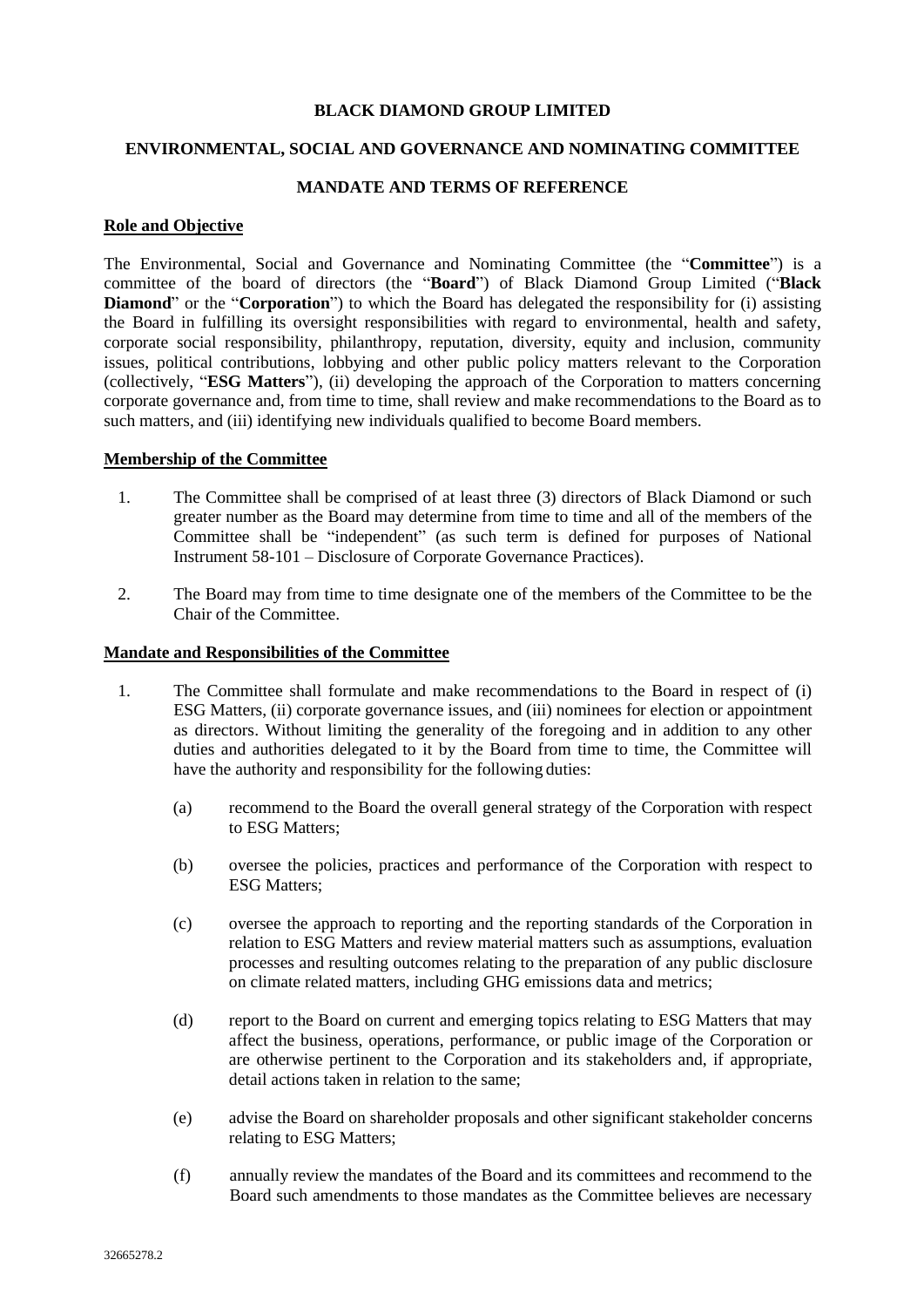# **BLACK DIAMOND GROUP LIMITED**

# **ENVIRONMENTAL, SOCIAL AND GOVERNANCE AND NOMINATING COMMITTEE**

# **MANDATE AND TERMS OF REFERENCE**

### **Role and Objective**

The Environmental, Social and Governance and Nominating Committee (the "**Committee**") is a committee of the board of directors (the "**Board**") of Black Diamond Group Limited ("**Black Diamond**" or the "**Corporation**") to which the Board has delegated the responsibility for (i) assisting the Board in fulfilling its oversight responsibilities with regard to environmental, health and safety, corporate social responsibility, philanthropy, reputation, diversity, equity and inclusion, community issues, political contributions, lobbying and other public policy matters relevant to the Corporation (collectively, "**ESG Matters**"), (ii) developing the approach of the Corporation to matters concerning corporate governance and, from time to time, shall review and make recommendations to the Board as to such matters, and (iii) identifying new individuals qualified to become Board members.

# **Membership of the Committee**

- 1. The Committee shall be comprised of at least three (3) directors of Black Diamond or such greater number as the Board may determine from time to time and all of the members of the Committee shall be "independent" (as such term is defined for purposes of National Instrument 58-101 – Disclosure of Corporate Governance Practices).
- 2. The Board may from time to time designate one of the members of the Committee to be the Chair of the Committee.

#### **Mandate and Responsibilities of the Committee**

- 1. The Committee shall formulate and make recommendations to the Board in respect of (i) ESG Matters, (ii) corporate governance issues, and (iii) nominees for election or appointment as directors. Without limiting the generality of the foregoing and in addition to any other duties and authorities delegated to it by the Board from time to time, the Committee will have the authority and responsibility for the following duties:
	- (a) recommend to the Board the overall general strategy of the Corporation with respect to ESG Matters;
	- (b) oversee the policies, practices and performance of the Corporation with respect to ESG Matters;
	- (c) oversee the approach to reporting and the reporting standards of the Corporation in relation to ESG Matters and review material matters such as assumptions, evaluation processes and resulting outcomes relating to the preparation of any public disclosure on climate related matters, including GHG emissions data and metrics;
	- (d) report to the Board on current and emerging topics relating to ESG Matters that may affect the business, operations, performance, or public image of the Corporation or are otherwise pertinent to the Corporation and its stakeholders and, if appropriate, detail actions taken in relation to the same;
	- (e) advise the Board on shareholder proposals and other significant stakeholder concerns relating to ESG Matters;
	- (f) annually review the mandates of the Board and its committees and recommend to the Board such amendments to those mandates as the Committee believes are necessary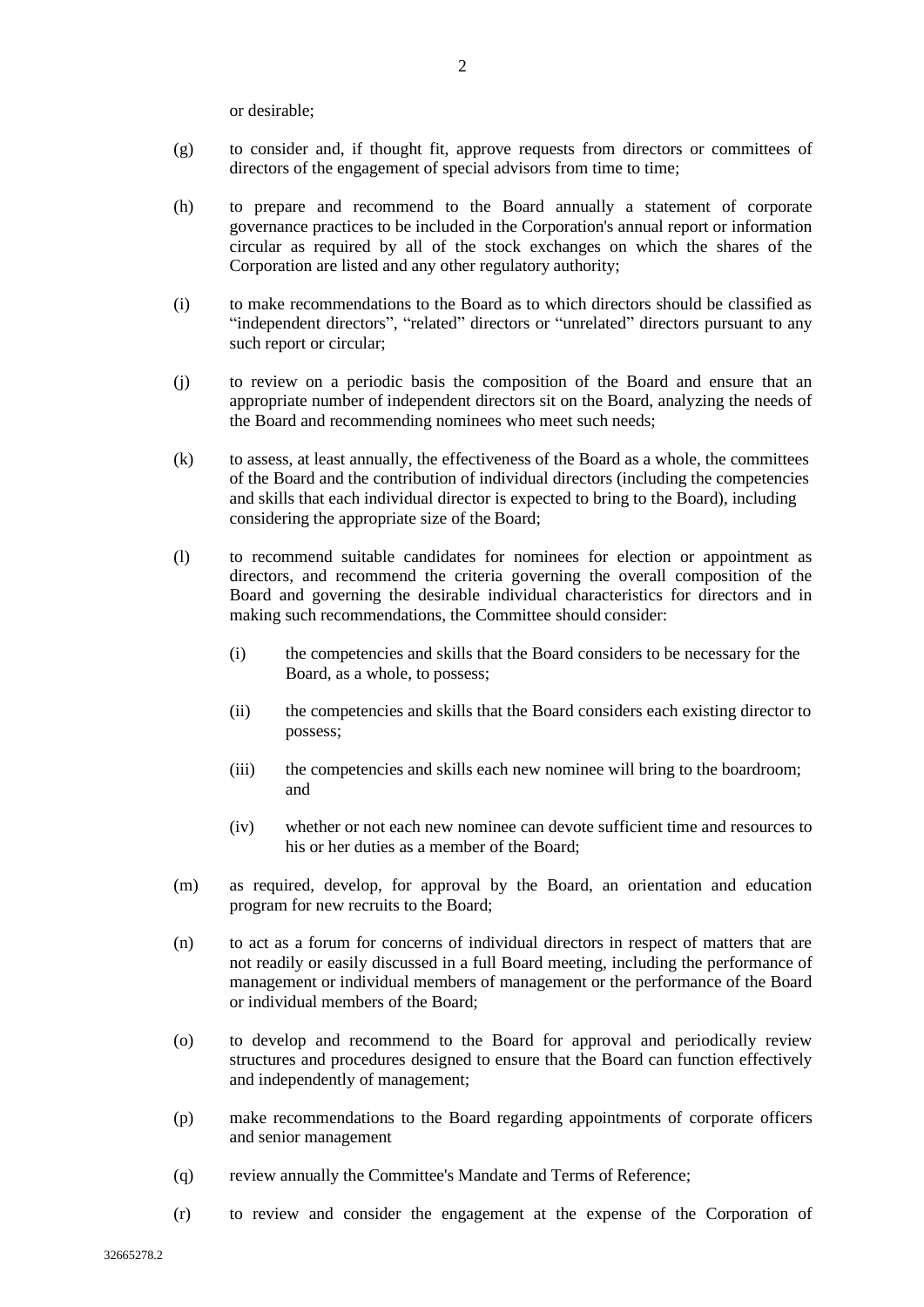or desirable;

- (g) to consider and, if thought fit, approve requests from directors or committees of directors of the engagement of special advisors from time to time;
- (h) to prepare and recommend to the Board annually a statement of corporate governance practices to be included in the Corporation's annual report or information circular as required by all of the stock exchanges on which the shares of the Corporation are listed and any other regulatory authority;
- (i) to make recommendations to the Board as to which directors should be classified as "independent directors", "related" directors or "unrelated" directors pursuant to any such report or circular;
- (j) to review on a periodic basis the composition of the Board and ensure that an appropriate number of independent directors sit on the Board, analyzing the needs of the Board and recommending nominees who meet such needs;
- (k) to assess, at least annually, the effectiveness of the Board as a whole, the committees of the Board and the contribution of individual directors (including the competencies and skills that each individual director is expected to bring to the Board), including considering the appropriate size of the Board;
- (l) to recommend suitable candidates for nominees for election or appointment as directors, and recommend the criteria governing the overall composition of the Board and governing the desirable individual characteristics for directors and in making such recommendations, the Committee should consider:
	- (i) the competencies and skills that the Board considers to be necessary for the Board, as a whole, to possess;
	- (ii) the competencies and skills that the Board considers each existing director to possess;
	- (iii) the competencies and skills each new nominee will bring to the boardroom; and
	- (iv) whether or not each new nominee can devote sufficient time and resources to his or her duties as a member of the Board;
- (m) as required, develop, for approval by the Board, an orientation and education program for new recruits to the Board;
- (n) to act as a forum for concerns of individual directors in respect of matters that are not readily or easily discussed in a full Board meeting, including the performance of management or individual members of management or the performance of the Board or individual members of the Board;
- (o) to develop and recommend to the Board for approval and periodically review structures and procedures designed to ensure that the Board can function effectively and independently of management;
- (p) make recommendations to the Board regarding appointments of corporate officers and senior management
- (q) review annually the Committee's Mandate and Terms of Reference;
- (r) to review and consider the engagement at the expense of the Corporation of